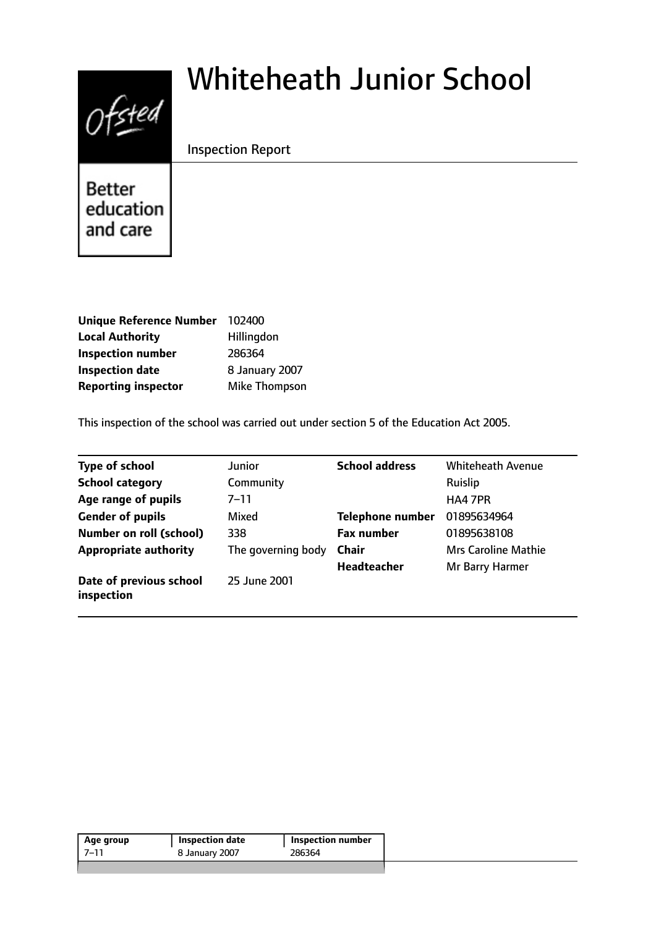# $0$ fsted

# Whiteheath Junior School

Inspection Report

**Better** education and care

| Unique Reference Number 102400 |                |
|--------------------------------|----------------|
| <b>Local Authority</b>         | Hillingdon     |
| <b>Inspection number</b>       | 286364         |
| <b>Inspection date</b>         | 8 January 2007 |
| <b>Reporting inspector</b>     | Mike Thompson  |

This inspection of the school was carried out under section 5 of the Education Act 2005.

| <b>Type of school</b>                 | Junior             | <b>School address</b>   | <b>Whiteheath Avenue</b>   |
|---------------------------------------|--------------------|-------------------------|----------------------------|
| <b>School category</b>                | Community          |                         | Ruislip                    |
| Age range of pupils                   | 7–11               |                         | HA4 7PR                    |
| <b>Gender of pupils</b>               | Mixed              | <b>Telephone number</b> | 01895634964                |
| <b>Number on roll (school)</b>        | 338                | <b>Fax number</b>       | 01895638108                |
| <b>Appropriate authority</b>          | The governing body | <b>Chair</b>            | <b>Mrs Caroline Mathie</b> |
|                                       |                    | <b>Headteacher</b>      | Mr Barry Harmer            |
| Date of previous school<br>inspection | 25 June 2001       |                         |                            |

| 286364<br>-7–11<br>8 January 2007 | Age group | <b>Inspection date</b> | Inspection number |  |
|-----------------------------------|-----------|------------------------|-------------------|--|
|                                   |           |                        |                   |  |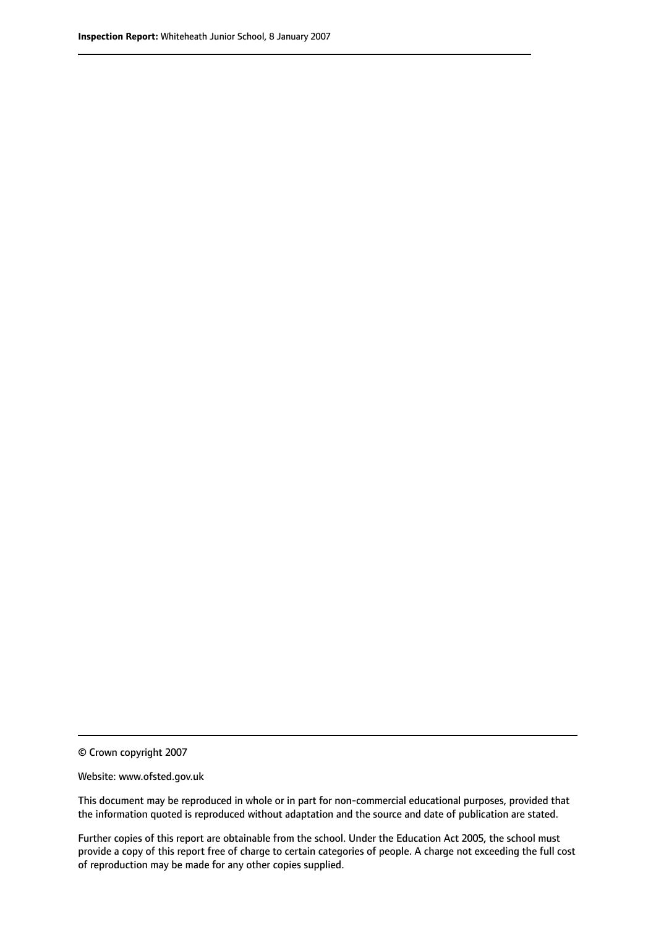© Crown copyright 2007

Website: www.ofsted.gov.uk

This document may be reproduced in whole or in part for non-commercial educational purposes, provided that the information quoted is reproduced without adaptation and the source and date of publication are stated.

Further copies of this report are obtainable from the school. Under the Education Act 2005, the school must provide a copy of this report free of charge to certain categories of people. A charge not exceeding the full cost of reproduction may be made for any other copies supplied.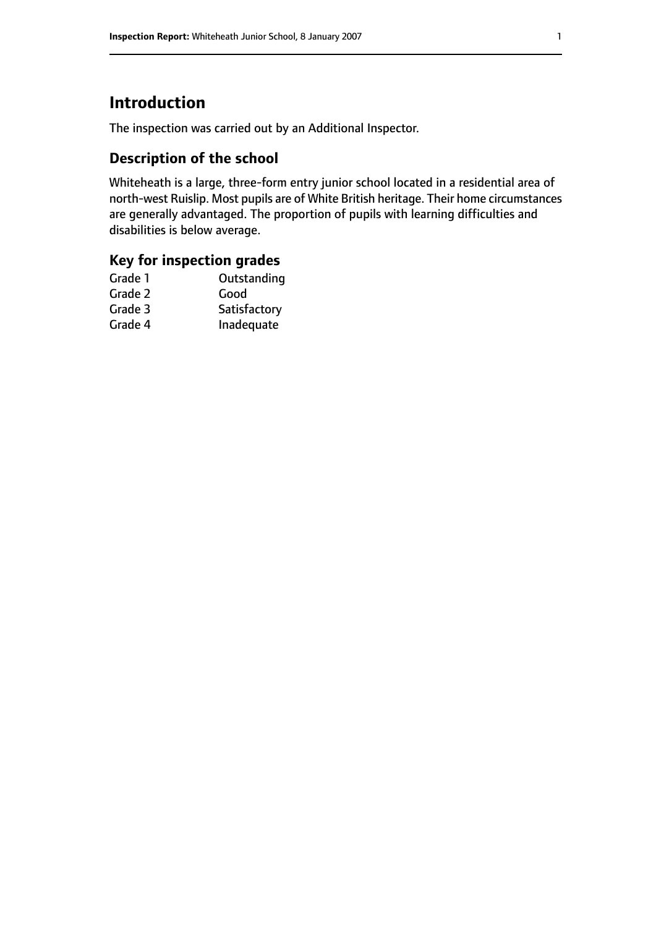# **Introduction**

The inspection was carried out by an Additional Inspector.

# **Description of the school**

Whiteheath is a large, three-form entry junior school located in a residential area of north-west Ruislip. Most pupils are of White British heritage. Their home circumstances are generally advantaged. The proportion of pupils with learning difficulties and disabilities is below average.

#### **Key for inspection grades**

| Outstanding  |
|--------------|
| Good         |
| Satisfactory |
| Inadequate   |
|              |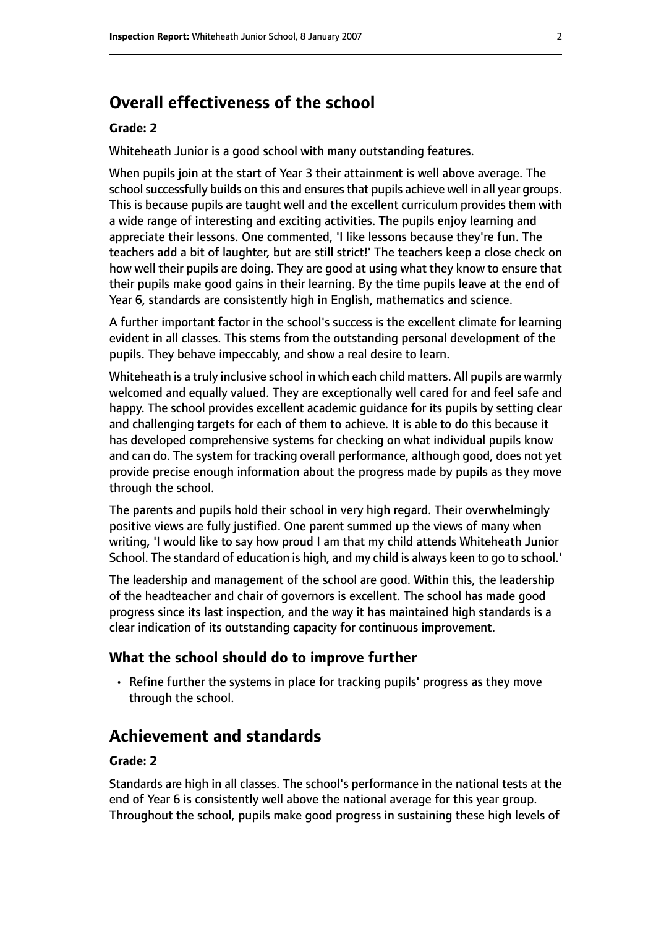# **Overall effectiveness of the school**

#### **Grade: 2**

Whiteheath Junior is a good school with many outstanding features.

When pupils join at the start of Year 3 their attainment is well above average. The school successfully builds on this and ensures that pupils achieve well in all year groups. This is because pupils are taught well and the excellent curriculum provides them with a wide range of interesting and exciting activities. The pupils enjoy learning and appreciate their lessons. One commented, 'I like lessons because they're fun. The teachers add a bit of laughter, but are still strict!' The teachers keep a close check on how well their pupils are doing. They are good at using what they know to ensure that their pupils make good gains in their learning. By the time pupils leave at the end of Year 6, standards are consistently high in English, mathematics and science.

A further important factor in the school's success is the excellent climate for learning evident in all classes. This stems from the outstanding personal development of the pupils. They behave impeccably, and show a real desire to learn.

Whiteheath is a truly inclusive school in which each child matters. All pupils are warmly welcomed and equally valued. They are exceptionally well cared for and feel safe and happy. The school provides excellent academic guidance for its pupils by setting clear and challenging targets for each of them to achieve. It is able to do this because it has developed comprehensive systems for checking on what individual pupils know and can do. The system for tracking overall performance, although good, does not yet provide precise enough information about the progress made by pupils as they move through the school.

The parents and pupils hold their school in very high regard. Their overwhelmingly positive views are fully justified. One parent summed up the views of many when writing, 'I would like to say how proud I am that my child attends Whiteheath Junior School. The standard of education is high, and my child is always keen to go to school.'

The leadership and management of the school are good. Within this, the leadership of the headteacher and chair of governors is excellent. The school has made good progress since its last inspection, and the way it has maintained high standards is a clear indication of its outstanding capacity for continuous improvement.

#### **What the school should do to improve further**

• Refine further the systems in place for tracking pupils' progress as they move through the school.

### **Achievement and standards**

#### **Grade: 2**

Standards are high in all classes. The school's performance in the national tests at the end of Year 6 is consistently well above the national average for this year group. Throughout the school, pupils make good progress in sustaining these high levels of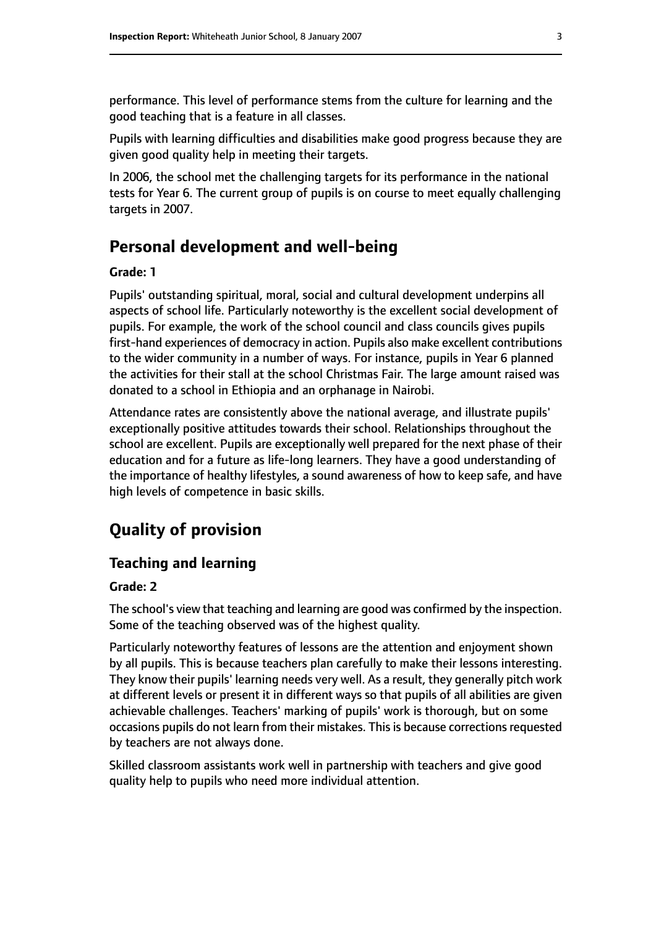performance. This level of performance stems from the culture for learning and the good teaching that is a feature in all classes.

Pupils with learning difficulties and disabilities make good progress because they are given good quality help in meeting their targets.

In 2006, the school met the challenging targets for its performance in the national tests for Year 6. The current group of pupils is on course to meet equally challenging targets in 2007.

# **Personal development and well-being**

#### **Grade: 1**

Pupils' outstanding spiritual, moral, social and cultural development underpins all aspects of school life. Particularly noteworthy is the excellent social development of pupils. For example, the work of the school council and class councils gives pupils first-hand experiences of democracy in action. Pupils also make excellent contributions to the wider community in a number of ways. For instance, pupils in Year 6 planned the activities for their stall at the school Christmas Fair. The large amount raised was donated to a school in Ethiopia and an orphanage in Nairobi.

Attendance rates are consistently above the national average, and illustrate pupils' exceptionally positive attitudes towards their school. Relationships throughout the school are excellent. Pupils are exceptionally well prepared for the next phase of their education and for a future as life-long learners. They have a good understanding of the importance of healthy lifestyles, a sound awareness of how to keep safe, and have high levels of competence in basic skills.

# **Quality of provision**

#### **Teaching and learning**

#### **Grade: 2**

The school's view that teaching and learning are good was confirmed by the inspection. Some of the teaching observed was of the highest quality.

Particularly noteworthy features of lessons are the attention and enjoyment shown by all pupils. This is because teachers plan carefully to make their lessons interesting. They know their pupils' learning needs very well. As a result, they generally pitch work at different levels or present it in different ways so that pupils of all abilities are given achievable challenges. Teachers' marking of pupils' work is thorough, but on some occasions pupils do not learn from their mistakes. This is because corrections requested by teachers are not always done.

Skilled classroom assistants work well in partnership with teachers and give good quality help to pupils who need more individual attention.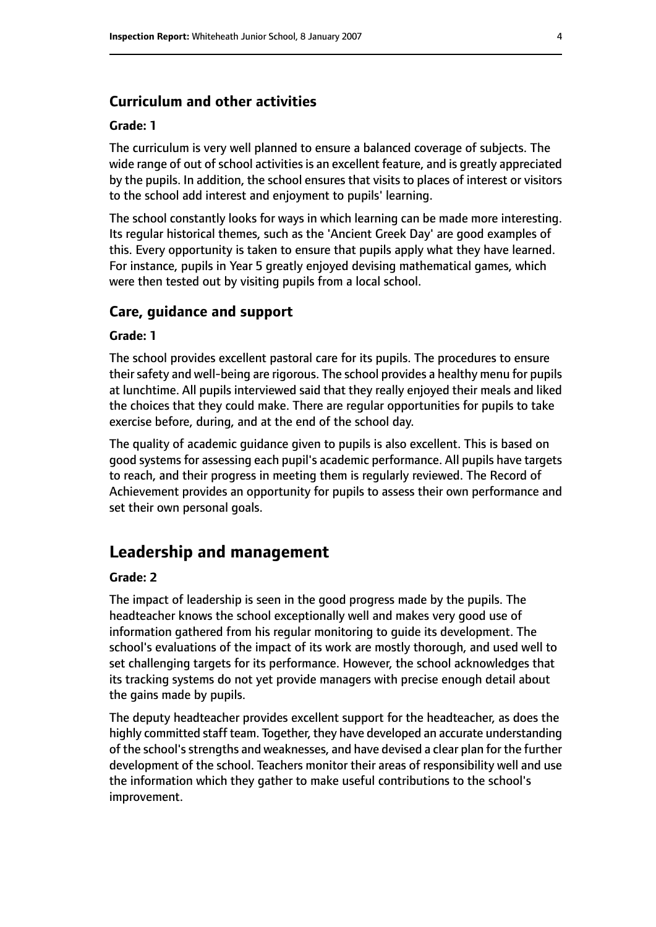#### **Curriculum and other activities**

#### **Grade: 1**

The curriculum is very well planned to ensure a balanced coverage of subjects. The wide range of out of school activities is an excellent feature, and is greatly appreciated by the pupils. In addition, the school ensures that visits to places of interest or visitors to the school add interest and enjoyment to pupils' learning.

The school constantly looks for ways in which learning can be made more interesting. Its regular historical themes, such as the 'Ancient Greek Day' are good examples of this. Every opportunity is taken to ensure that pupils apply what they have learned. For instance, pupils in Year 5 greatly enjoyed devising mathematical games, which were then tested out by visiting pupils from a local school.

#### **Care, guidance and support**

#### **Grade: 1**

The school provides excellent pastoral care for its pupils. The procedures to ensure their safety and well-being are rigorous. The school provides a healthy menu for pupils at lunchtime. All pupils interviewed said that they really enjoyed their meals and liked the choices that they could make. There are regular opportunities for pupils to take exercise before, during, and at the end of the school day.

The quality of academic guidance given to pupils is also excellent. This is based on good systems for assessing each pupil's academic performance. All pupils have targets to reach, and their progress in meeting them is regularly reviewed. The Record of Achievement provides an opportunity for pupils to assess their own performance and set their own personal goals.

#### **Leadership and management**

#### **Grade: 2**

The impact of leadership is seen in the good progress made by the pupils. The headteacher knows the school exceptionally well and makes very good use of information gathered from his regular monitoring to guide its development. The school's evaluations of the impact of its work are mostly thorough, and used well to set challenging targets for its performance. However, the school acknowledges that its tracking systems do not yet provide managers with precise enough detail about the gains made by pupils.

The deputy headteacher provides excellent support for the headteacher, as does the highly committed staff team. Together, they have developed an accurate understanding of the school's strengths and weaknesses, and have devised a clear plan for the further development of the school. Teachers monitor their areas of responsibility well and use the information which they gather to make useful contributions to the school's improvement.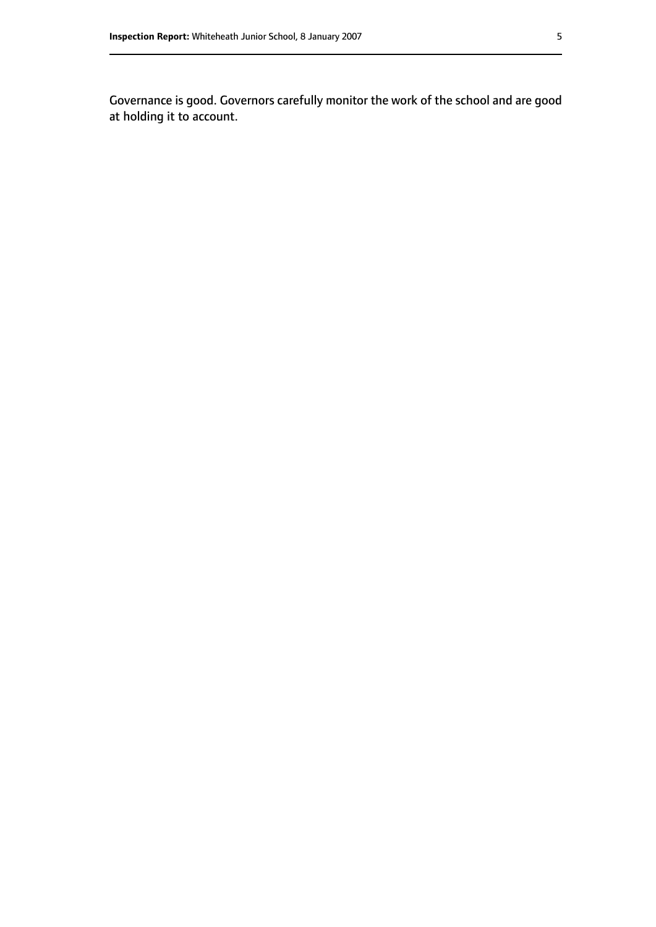Governance is good. Governors carefully monitor the work of the school and are good at holding it to account.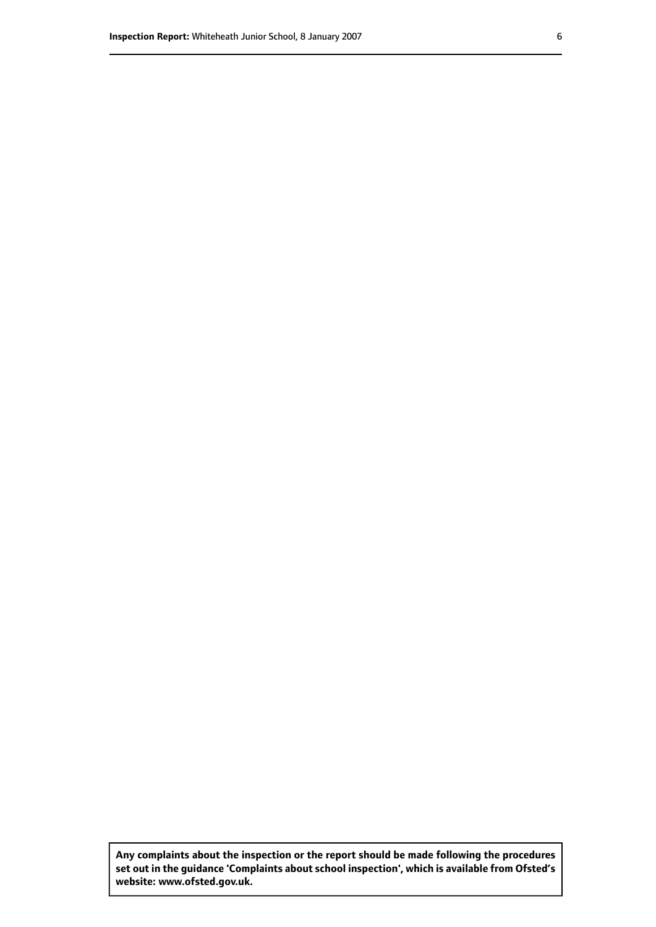**Any complaints about the inspection or the report should be made following the procedures set out inthe guidance 'Complaints about school inspection', whichis available from Ofsted's website: www.ofsted.gov.uk.**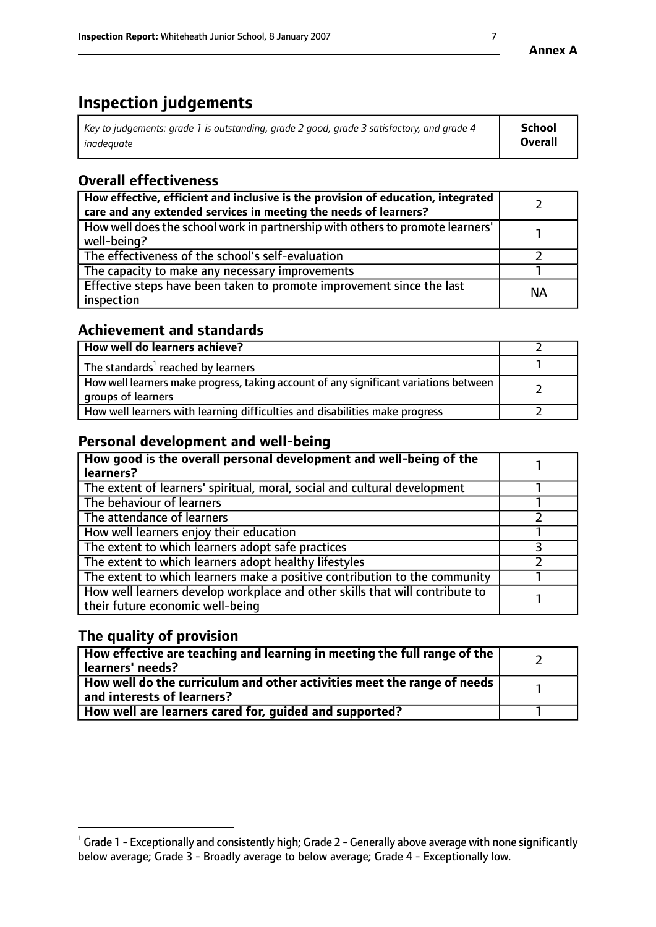# **Inspection judgements**

| $^{\dagger}$ Key to judgements: grade 1 is outstanding, grade 2 good, grade 3 satisfactory, and grade 4 | <b>School</b>  |
|---------------------------------------------------------------------------------------------------------|----------------|
| inadeauate                                                                                              | <b>Overall</b> |

# **Overall effectiveness**

| How effective, efficient and inclusive is the provision of education, integrated<br>care and any extended services in meeting the needs of learners? |           |
|------------------------------------------------------------------------------------------------------------------------------------------------------|-----------|
| How well does the school work in partnership with others to promote learners'<br>well-being?                                                         |           |
| The effectiveness of the school's self-evaluation                                                                                                    |           |
| The capacity to make any necessary improvements                                                                                                      |           |
| Effective steps have been taken to promote improvement since the last<br>inspection                                                                  | <b>NA</b> |

## **Achievement and standards**

| How well do learners achieve?                                                                               |  |
|-------------------------------------------------------------------------------------------------------------|--|
| The standards <sup>1</sup> reached by learners                                                              |  |
| How well learners make progress, taking account of any significant variations between<br>groups of learners |  |
| How well learners with learning difficulties and disabilities make progress                                 |  |

# **Personal development and well-being**

| How good is the overall personal development and well-being of the<br>learners?                                  |  |
|------------------------------------------------------------------------------------------------------------------|--|
| The extent of learners' spiritual, moral, social and cultural development                                        |  |
| The behaviour of learners                                                                                        |  |
| The attendance of learners                                                                                       |  |
| How well learners enjoy their education                                                                          |  |
| The extent to which learners adopt safe practices                                                                |  |
| The extent to which learners adopt healthy lifestyles                                                            |  |
| The extent to which learners make a positive contribution to the community                                       |  |
| How well learners develop workplace and other skills that will contribute to<br>their future economic well-being |  |

# **The quality of provision**

| $\mid$ How effective are teaching and learning in meeting the full range of the $\mid$<br>learners' needs?               |  |
|--------------------------------------------------------------------------------------------------------------------------|--|
| $\mid$ How well do the curriculum and other activities meet the range of needs $\mid$<br>$\,$ and interests of learners? |  |
| How well are learners cared for, guided and supported?                                                                   |  |

 $^1$  Grade 1 - Exceptionally and consistently high; Grade 2 - Generally above average with none significantly below average; Grade 3 - Broadly average to below average; Grade 4 - Exceptionally low.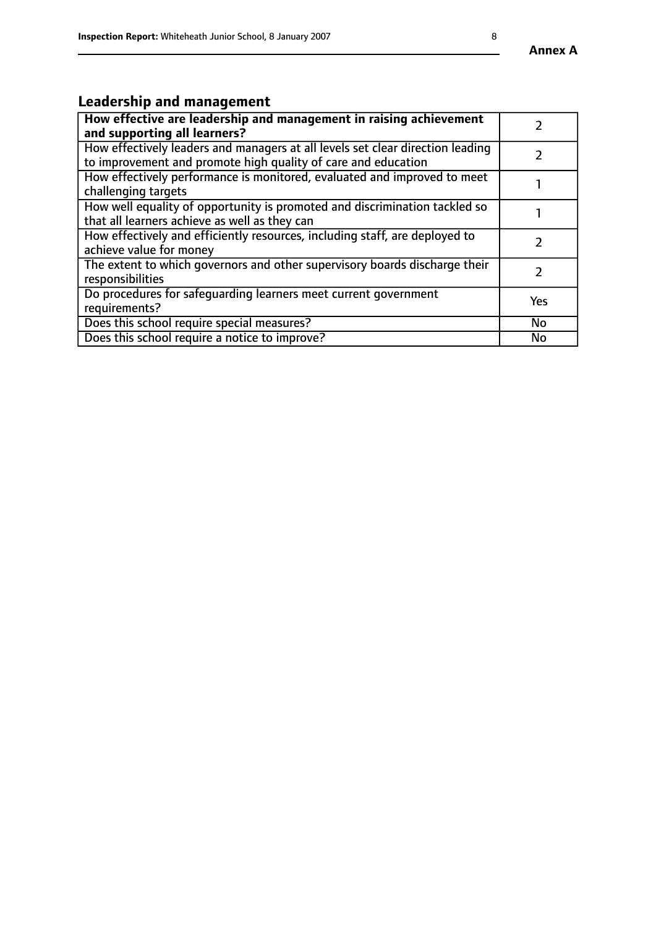#### **Annex A**

# **Leadership and management**

| How effective are leadership and management in raising achievement<br>and supporting all learners?                                              |               |
|-------------------------------------------------------------------------------------------------------------------------------------------------|---------------|
| How effectively leaders and managers at all levels set clear direction leading<br>to improvement and promote high quality of care and education |               |
| How effectively performance is monitored, evaluated and improved to meet<br>challenging targets                                                 |               |
| How well equality of opportunity is promoted and discrimination tackled so<br>that all learners achieve as well as they can                     |               |
| How effectively and efficiently resources, including staff, are deployed to<br>achieve value for money                                          | $\mathcal{P}$ |
| The extent to which governors and other supervisory boards discharge their<br>responsibilities                                                  |               |
| Do procedures for safequarding learners meet current government<br>requirements?                                                                | Yes           |
| Does this school require special measures?                                                                                                      | No            |
| Does this school require a notice to improve?                                                                                                   | <b>No</b>     |